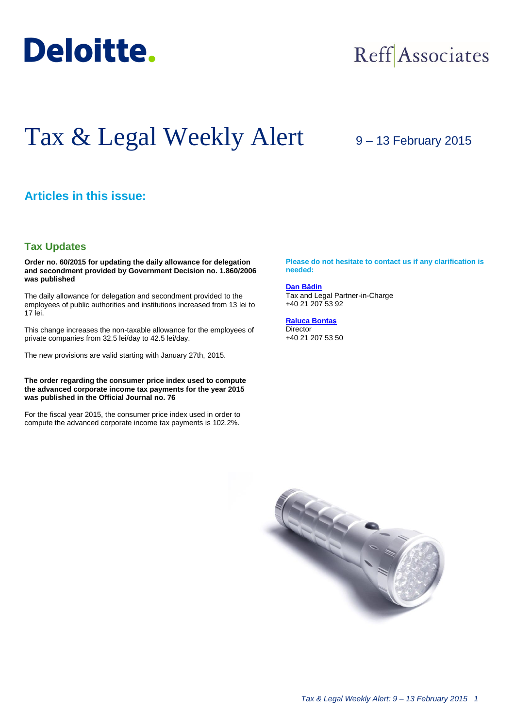

## Reff Associates

# Tax & Legal Weekly Alert

### 9 – 13 February 2015

#### **Articles in this issue:**

#### **Tax Updates**

**Order no. 60/2015 for updating the daily allowance for delegation and secondment provided by Government Decision no. 1.860/2006 was published**

The daily allowance for delegation and secondment provided to the employees of public authorities and institutions increased from 13 lei to 17 lei.

This change increases the non-taxable allowance for the employees of private companies from 32.5 lei/day to 42.5 lei/day.

The new provisions are valid starting with January 27th, 2015.

#### **The order regarding the consumer price index used to compute the advanced corporate income tax payments for the year 2015 was published in the Official Journal no. 76**

For the fiscal year 2015, the consumer price index used in order to compute the advanced corporate income tax payments is 102.2%.

**Please do not hesitate to contact us if any clarification is needed:**

**[Dan Bădin](mailto:dbadin@deloittece.com)** Tax and Legal Partner-in-Charge +40 21 207 53 92

**[Raluca Bontaș](mailto:rbontas@deloittece.com)** Director +40 21 207 53 50